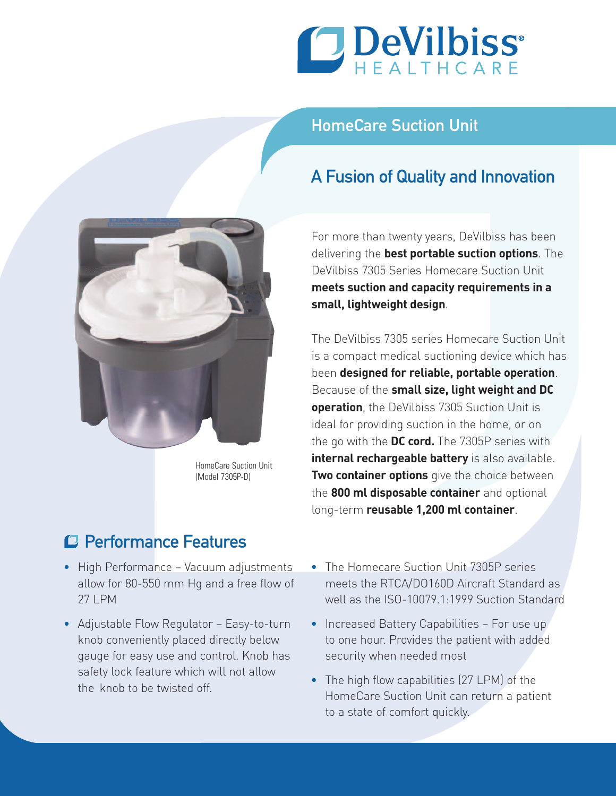

## HomeCare Suction Unit

## A Fusion of Quality and Innovation



HomeCare Suction Unit (Model 7305P-D)

## Performance Features

- High Performance Vacuum adjustments allow for 80-550 mm Hg and a free flow of 27 LPM
- Adjustable Flow Regulator Easy-to-turn knob conveniently placed directly below gauge for easy use and control. Knob has safety lock feature which will not allow the knob to be twisted off.

For more than twenty years, DeVilbiss has been delivering the **best portable suction options**. The DeVilbiss 7305 Series Homecare Suction Unit **meets suction and capacity requirements in a small, lightweight design**.

The DeVilbiss 7305 series Homecare Suction Unit is a compact medical suctioning device which has been **designed for reliable, portable operation**. Because of the **small size, light weight and DC operation**, the DeVilbiss 7305 Suction Unit is ideal for providing suction in the home, or on the go with the **DC cord.** The 7305P series with **internal rechargeable battery** is also available. **Two container options** give the choice between the **800 ml disposable container** and optional long-term **reusable 1,200 ml container**.

- The Homecare Suction Unit 7305P series meets the RTCA/DO160D Aircraft Standard as well as the ISO-10079.1:1999 Suction Standard
- Increased Battery Capabilities For use up to one hour. Provides the patient with added security when needed most
- The high flow capabilities (27 LPM) of the HomeCare Suction Unit can return a patient to a state of comfort quickly.